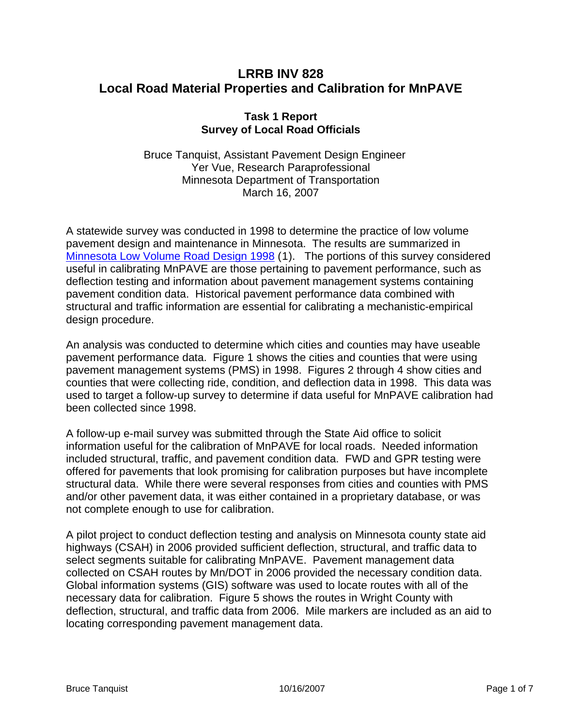## **LRRB INV 828 Local Road Material Properties and Calibration for MnPAVE**

## **Task 1 Report Survey of Local Road Officials**

Bruce Tanquist, Assistant Pavement Design Engineer Yer Vue, Research Paraprofessional Minnesota Department of Transportation March 16, 2007

A statewide survey was conducted in 1998 to determine the practice of low volume pavement design and maintenance in Minnesota. The results are summarized in [Minnesota Low Volume Road Design 1998](http://www.lrrb.org/PDF/199934.pdf) ([1](#page-6-0)). The portions of this survey considered useful in calibrating MnPAVE are those pertaining to pavement performance, such as deflection testing and information about pavement management systems containing pavement condition data. Historical pavement performance data combined with structural and traffic information are essential for calibrating a mechanistic-empirical design procedure.

An analysis was conducted to determine which cities and counties may have useable pavement performance data. [Figure 1](#page-1-0) shows the cities and counties that were using pavement management systems (PMS) in 1998. Figures 2 through 4 show cities and counties that were collecting ride, condition, and deflection data in 1998. This data was used to target a follow-up survey to determine if data useful for MnPAVE calibration had been collected since 1998.

A follow-up e-mail survey was submitted through the State Aid office to solicit information useful for the calibration of MnPAVE for local roads. Needed information included structural, traffic, and pavement condition data. FWD and GPR testing were offered for pavements that look promising for calibration purposes but have incomplete structural data. While there were several responses from cities and counties with PMS and/or other pavement data, it was either contained in a proprietary database, or was not complete enough to use for calibration.

A pilot project to conduct deflection testing and analysis on Minnesota county state aid highways (CSAH) in 2006 provided sufficient deflection, structural, and traffic data to select segments suitable for calibrating MnPAVE. Pavement management data collected on CSAH routes by Mn/DOT in 2006 provided the necessary condition data. Global information systems (GIS) software was used to locate routes with all of the necessary data for calibration. [Figure 5](#page-5-0) shows the routes in Wright County with deflection, structural, and traffic data from 2006. Mile markers are included as an aid to locating corresponding pavement management data.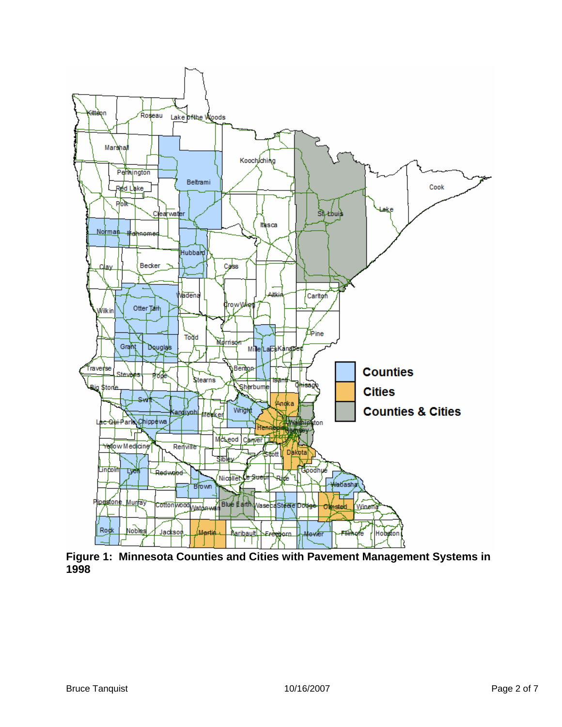

<span id="page-1-0"></span>**Figure 1: Minnesota Counties and Cities with Pavement Management Systems in 1998**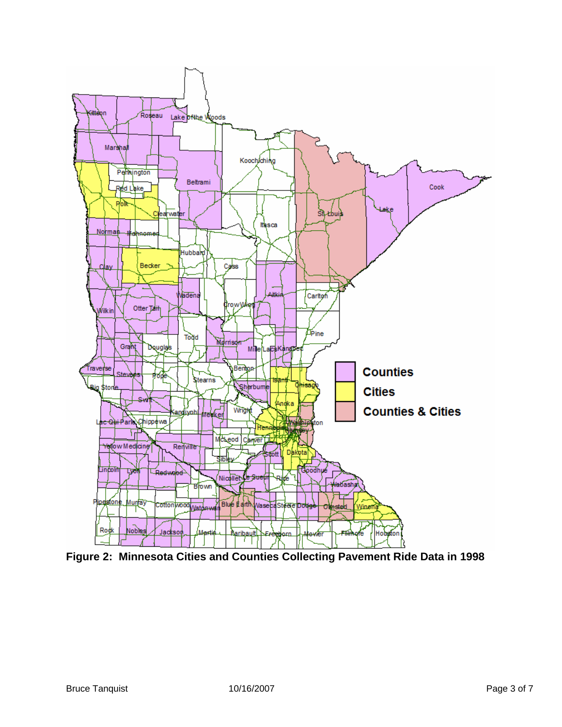

**Figure 2: Minnesota Cities and Counties Collecting Pavement Ride Data in 1998**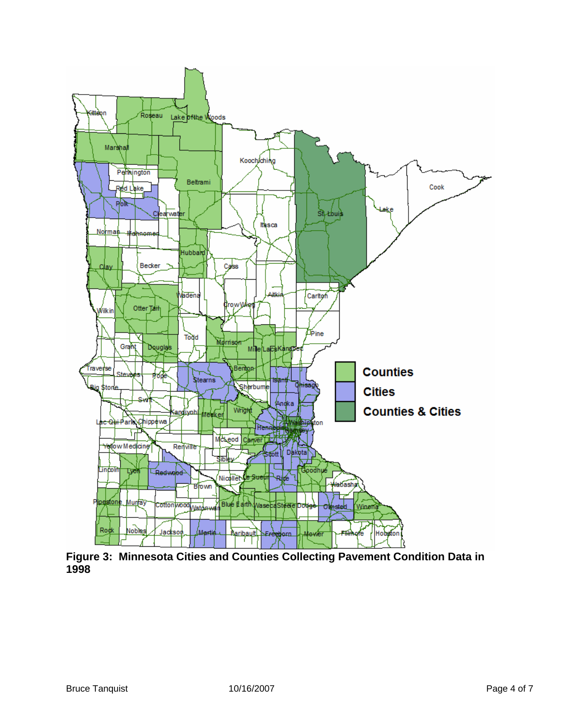

**Figure 3: Minnesota Cities and Counties Collecting Pavement Condition Data in 1998**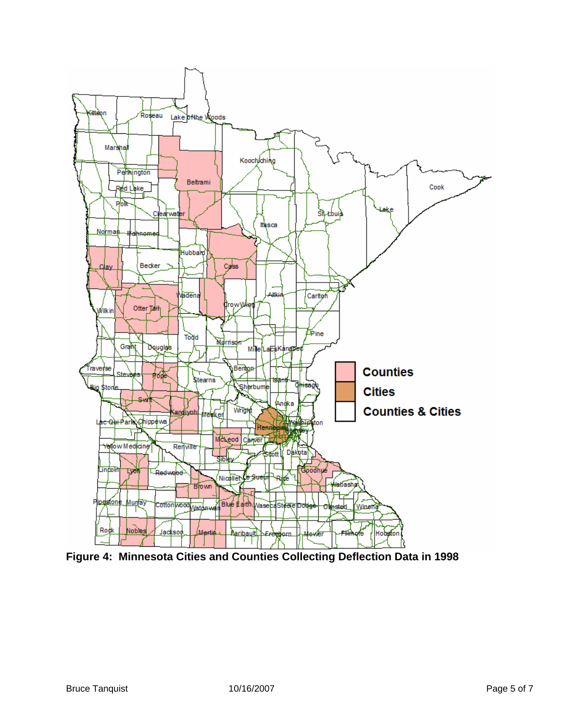

**Figure 4: Minnesota Cities and Counties Collecting Deflection Data in 1998**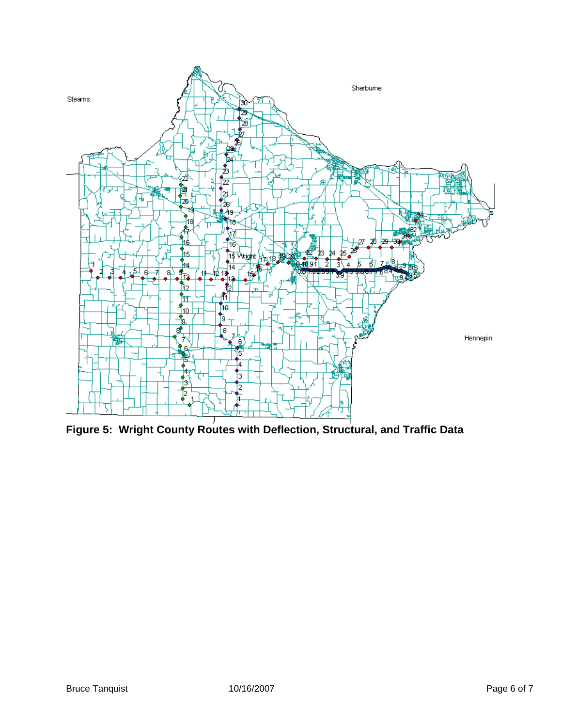

<span id="page-5-0"></span>Figure 5: Wright County Routes with Deflection, Structural, and Traffic Data